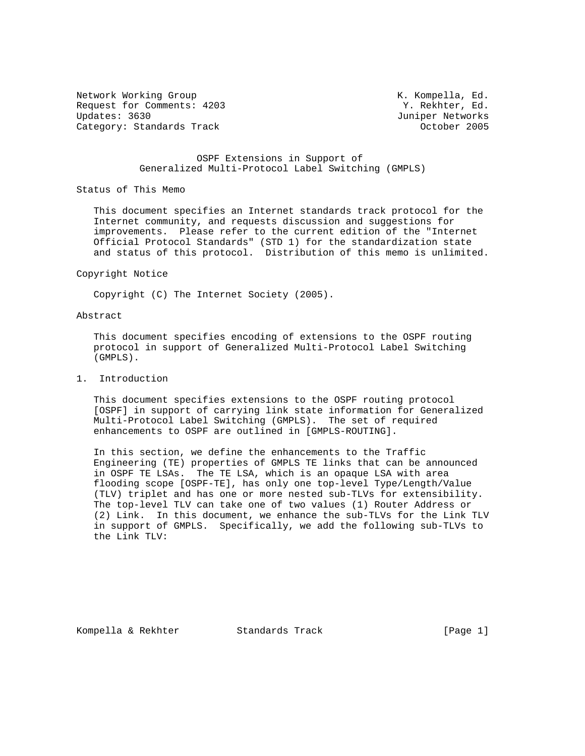Network Working Group and Month Compella, Ed. (All Alexander Month Compella, Ed. 2018) Request for Comments: 4203 Y. Rekhter, Ed.<br>
Updates: 3630 Juniper Networks Category: Standards Track

Juniper Networks<br>0ctober 2005

# OSPF Extensions in Support of Generalized Multi-Protocol Label Switching (GMPLS)

Status of This Memo

 This document specifies an Internet standards track protocol for the Internet community, and requests discussion and suggestions for improvements. Please refer to the current edition of the "Internet Official Protocol Standards" (STD 1) for the standardization state and status of this protocol. Distribution of this memo is unlimited.

#### Copyright Notice

Copyright (C) The Internet Society (2005).

# Abstract

 This document specifies encoding of extensions to the OSPF routing protocol in support of Generalized Multi-Protocol Label Switching (GMPLS).

## 1. Introduction

 This document specifies extensions to the OSPF routing protocol [OSPF] in support of carrying link state information for Generalized Multi-Protocol Label Switching (GMPLS). The set of required enhancements to OSPF are outlined in [GMPLS-ROUTING].

 In this section, we define the enhancements to the Traffic Engineering (TE) properties of GMPLS TE links that can be announced in OSPF TE LSAs. The TE LSA, which is an opaque LSA with area flooding scope [OSPF-TE], has only one top-level Type/Length/Value (TLV) triplet and has one or more nested sub-TLVs for extensibility. The top-level TLV can take one of two values (1) Router Address or (2) Link. In this document, we enhance the sub-TLVs for the Link TLV in support of GMPLS. Specifically, we add the following sub-TLVs to the Link TLV:

Kompella & Rekhter Standards Track [Page 1]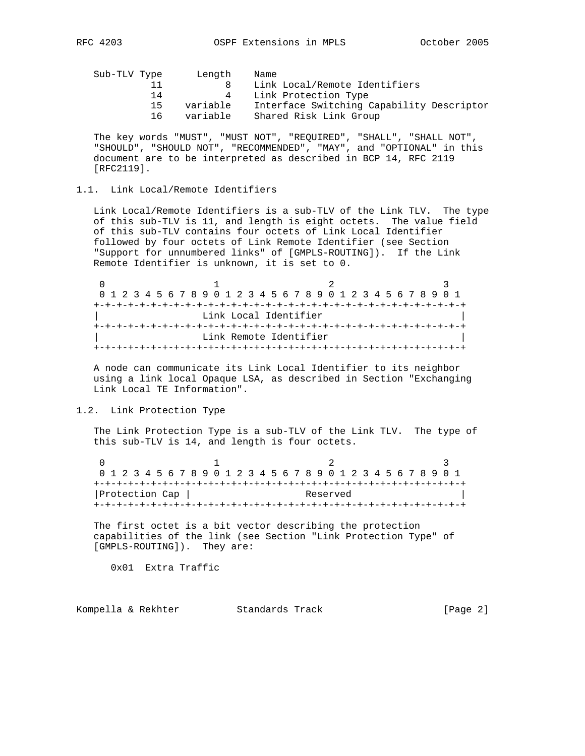| Interface Switching Capability Descriptor |
|-------------------------------------------|
|                                           |
|                                           |

 The key words "MUST", "MUST NOT", "REQUIRED", "SHALL", "SHALL NOT", "SHOULD", "SHOULD NOT", "RECOMMENDED", "MAY", and "OPTIONAL" in this document are to be interpreted as described in BCP 14, RFC 2119 [RFC2119].

## 1.1. Link Local/Remote Identifiers

 Link Local/Remote Identifiers is a sub-TLV of the Link TLV. The type of this sub-TLV is 11, and length is eight octets. The value field of this sub-TLV contains four octets of Link Local Identifier followed by four octets of Link Remote Identifier (see Section "Support for unnumbered links" of [GMPLS-ROUTING]). If the Link Remote Identifier is unknown, it is set to 0.

|  |  |  |  |  |  |  |  |  |                        |  |  | 0 1 2 3 4 5 6 7 8 9 0 1 2 3 4 5 6 7 8 9 0 1 2 3 4 5 6 7 8 9 0 1 |  |  |  |  |
|--|--|--|--|--|--|--|--|--|------------------------|--|--|-----------------------------------------------------------------|--|--|--|--|
|  |  |  |  |  |  |  |  |  |                        |  |  |                                                                 |  |  |  |  |
|  |  |  |  |  |  |  |  |  | Link Local Identifier  |  |  |                                                                 |  |  |  |  |
|  |  |  |  |  |  |  |  |  |                        |  |  |                                                                 |  |  |  |  |
|  |  |  |  |  |  |  |  |  | Link Remote Identifier |  |  |                                                                 |  |  |  |  |
|  |  |  |  |  |  |  |  |  |                        |  |  |                                                                 |  |  |  |  |

 A node can communicate its Link Local Identifier to its neighbor using a link local Opaque LSA, as described in Section "Exchanging Link Local TE Information".

### 1.2. Link Protection Type

 The Link Protection Type is a sub-TLV of the Link TLV. The type of this sub-TLV is 14, and length is four octets.

0  $1$  2 3 0 1 2 3 4 5 6 7 8 9 0 1 2 3 4 5 6 7 8 9 0 1 2 3 4 5 6 7 8 9 0 1 +-+-+-+-+-+-+-+-+-+-+-+-+-+-+-+-+-+-+-+-+-+-+-+-+-+-+-+-+-+-+-+-+ | Protection Cap | Reserved +-+-+-+-+-+-+-+-+-+-+-+-+-+-+-+-+-+-+-+-+-+-+-+-+-+-+-+-+-+-+-+-+

 The first octet is a bit vector describing the protection capabilities of the link (see Section "Link Protection Type" of [GMPLS-ROUTING]). They are:

0x01 Extra Traffic

Kompella & Rekhter Standards Track [Page 2]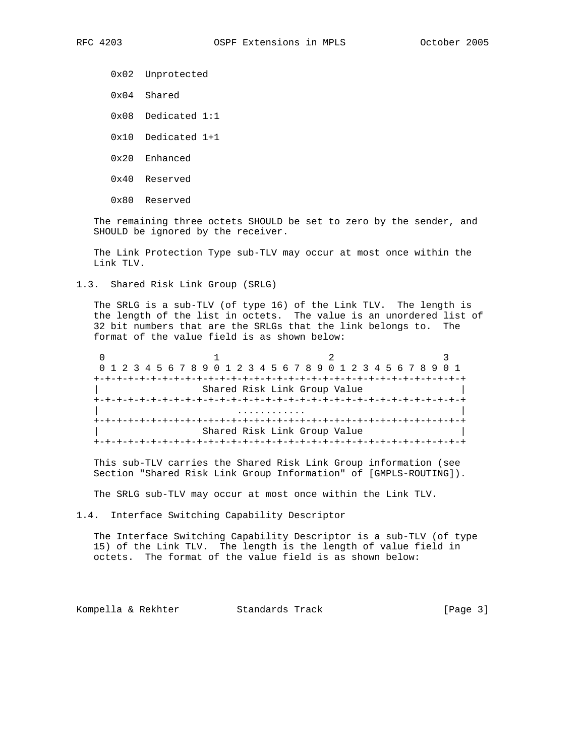0x02 Unprotected

- 0x04 Shared
- 0x08 Dedicated 1:1
- 0x10 Dedicated 1+1
- 0x20 Enhanced
- 0x40 Reserved
- 0x80 Reserved

 The remaining three octets SHOULD be set to zero by the sender, and SHOULD be ignored by the receiver.

 The Link Protection Type sub-TLV may occur at most once within the Link TLV.

1.3. Shared Risk Link Group (SRLG)

 The SRLG is a sub-TLV (of type 16) of the Link TLV. The length is the length of the list in octets. The value is an unordered list of 32 bit numbers that are the SRLGs that the link belongs to. The format of the value field is as shown below:

0  $1$  2 3 0 1 2 3 4 5 6 7 8 9 0 1 2 3 4 5 6 7 8 9 0 1 2 3 4 5 6 7 8 9 0 1 +-+-+-+-+-+-+-+-+-+-+-+-+-+-+-+-+-+-+-+-+-+-+-+-+-+-+-+-+-+-+-+-+ Shared Risk Link Group Value +-+-+-+-+-+-+-+-+-+-+-+-+-+-+-+-+-+-+-+-+-+-+-+-+-+-+-+-+-+-+-+-+ | ............ | +-+-+-+-+-+-+-+-+-+-+-+-+-+-+-+-+-+-+-+-+-+-+-+-+-+-+-+-+-+-+-+-+ Shared Risk Link Group Value +-+-+-+-+-+-+-+-+-+-+-+-+-+-+-+-+-+-+-+-+-+-+-+-+-+-+-+-+-+-+-+-+

 This sub-TLV carries the Shared Risk Link Group information (see Section "Shared Risk Link Group Information" of [GMPLS-ROUTING]).

The SRLG sub-TLV may occur at most once within the Link TLV.

1.4. Interface Switching Capability Descriptor

 The Interface Switching Capability Descriptor is a sub-TLV (of type 15) of the Link TLV. The length is the length of value field in octets. The format of the value field is as shown below:

Kompella & Rekhter Standards Track [Page 3]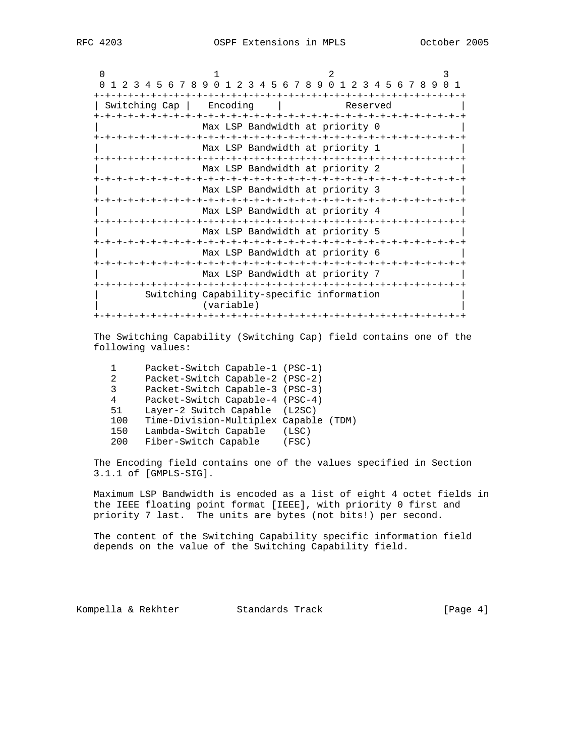|                                                                 |                                                         |                                 |          | ζ |  |  |
|-----------------------------------------------------------------|---------------------------------------------------------|---------------------------------|----------|---|--|--|
| 0 1 2 3 4 5 6 7 8 9 0 1 2 3 4 5 6 7 8 9 0 1 2 3 4 5 6 7 8 9 0 1 |                                                         |                                 |          |   |  |  |
| Switching Cap                                                   | Encoding                                                |                                 | Reserved |   |  |  |
|                                                                 |                                                         | Max LSP Bandwidth at priority 0 |          |   |  |  |
|                                                                 |                                                         | Max LSP Bandwidth at priority 1 |          |   |  |  |
|                                                                 |                                                         | Max LSP Bandwidth at priority 2 |          |   |  |  |
|                                                                 |                                                         | Max LSP Bandwidth at priority 3 |          |   |  |  |
|                                                                 |                                                         | Max LSP Bandwidth at priority 4 |          |   |  |  |
|                                                                 |                                                         | Max LSP Bandwidth at priority 5 |          |   |  |  |
|                                                                 |                                                         | Max LSP Bandwidth at priority 6 |          |   |  |  |
|                                                                 |                                                         | Max LSP Bandwidth at priority 7 |          |   |  |  |
|                                                                 | Switching Capability-specific information<br>(variable) |                                 |          |   |  |  |
|                                                                 |                                                         |                                 |          |   |  |  |

 The Switching Capability (Switching Cap) field contains one of the following values:

|     | Packet-Switch Capable-1 (PSC-1)       |       |  |
|-----|---------------------------------------|-------|--|
| 2.  | Packet-Switch Capable-2 (PSC-2)       |       |  |
| २   | Packet-Switch Capable-3 (PSC-3)       |       |  |
| 4   | Packet-Switch Capable-4 (PSC-4)       |       |  |
| 51  | Layer-2 Switch Capable (L2SC)         |       |  |
| 100 | Time-Division-Multiplex Capable (TDM) |       |  |
| 150 | Lambda-Switch Capable                 | (LSC) |  |
| 200 | Fiber-Switch Capable                  | (FSC) |  |
|     |                                       |       |  |

 The Encoding field contains one of the values specified in Section 3.1.1 of [GMPLS-SIG].

 Maximum LSP Bandwidth is encoded as a list of eight 4 octet fields in the IEEE floating point format [IEEE], with priority 0 first and priority 7 last. The units are bytes (not bits!) per second.

 The content of the Switching Capability specific information field depends on the value of the Switching Capability field.

Kompella & Rekhter Standards Track [Page 4]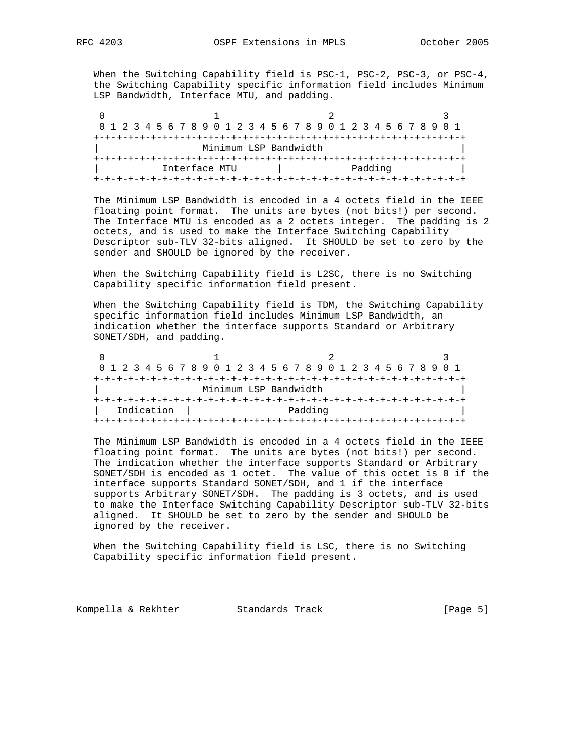When the Switching Capability field is PSC-1, PSC-2, PSC-3, or PSC-4, the Switching Capability specific information field includes Minimum LSP Bandwidth, Interface MTU, and padding.

| 0 1 2 3 4 5 6 7 8 9 0 1 2 3 4 5 6 7 8 9 0 1 2 3 4 5 6 7 8 9 0 1 |  |  |  |  |  |  |               |  |  |  |  |                       |  |  |  |  |  |  |  |  |  |         |  |  |  |  |  |
|-----------------------------------------------------------------|--|--|--|--|--|--|---------------|--|--|--|--|-----------------------|--|--|--|--|--|--|--|--|--|---------|--|--|--|--|--|
|                                                                 |  |  |  |  |  |  |               |  |  |  |  |                       |  |  |  |  |  |  |  |  |  |         |  |  |  |  |  |
|                                                                 |  |  |  |  |  |  |               |  |  |  |  | Minimum LSP Bandwidth |  |  |  |  |  |  |  |  |  |         |  |  |  |  |  |
|                                                                 |  |  |  |  |  |  |               |  |  |  |  |                       |  |  |  |  |  |  |  |  |  |         |  |  |  |  |  |
|                                                                 |  |  |  |  |  |  | Interface MTU |  |  |  |  |                       |  |  |  |  |  |  |  |  |  | Padding |  |  |  |  |  |
|                                                                 |  |  |  |  |  |  |               |  |  |  |  |                       |  |  |  |  |  |  |  |  |  |         |  |  |  |  |  |

 The Minimum LSP Bandwidth is encoded in a 4 octets field in the IEEE floating point format. The units are bytes (not bits!) per second. The Interface MTU is encoded as a 2 octets integer. The padding is 2 octets, and is used to make the Interface Switching Capability Descriptor sub-TLV 32-bits aligned. It SHOULD be set to zero by the sender and SHOULD be ignored by the receiver.

 When the Switching Capability field is L2SC, there is no Switching Capability specific information field present.

 When the Switching Capability field is TDM, the Switching Capability specific information field includes Minimum LSP Bandwidth, an indication whether the interface supports Standard or Arbitrary SONET/SDH, and padding.

| 0 1 2 3 4 5 6 7 8 9 0 1 2 3 4 5 6 7 8 9 0 1 2 3 4 5 6 7 8 9 0 1 |  |  |  |  |  |                       |  |  |  |  |  |  |  |  |         |  |  |  |  |  |  |  |  |  |
|-----------------------------------------------------------------|--|--|--|--|--|-----------------------|--|--|--|--|--|--|--|--|---------|--|--|--|--|--|--|--|--|--|
|                                                                 |  |  |  |  |  |                       |  |  |  |  |  |  |  |  |         |  |  |  |  |  |  |  |  |  |
|                                                                 |  |  |  |  |  | Minimum LSP Bandwidth |  |  |  |  |  |  |  |  |         |  |  |  |  |  |  |  |  |  |
|                                                                 |  |  |  |  |  |                       |  |  |  |  |  |  |  |  |         |  |  |  |  |  |  |  |  |  |
| Indication                                                      |  |  |  |  |  |                       |  |  |  |  |  |  |  |  | Padding |  |  |  |  |  |  |  |  |  |
|                                                                 |  |  |  |  |  |                       |  |  |  |  |  |  |  |  |         |  |  |  |  |  |  |  |  |  |

 The Minimum LSP Bandwidth is encoded in a 4 octets field in the IEEE floating point format. The units are bytes (not bits!) per second. The indication whether the interface supports Standard or Arbitrary SONET/SDH is encoded as 1 octet. The value of this octet is 0 if the interface supports Standard SONET/SDH, and 1 if the interface supports Arbitrary SONET/SDH. The padding is 3 octets, and is used to make the Interface Switching Capability Descriptor sub-TLV 32-bits aligned. It SHOULD be set to zero by the sender and SHOULD be ignored by the receiver.

 When the Switching Capability field is LSC, there is no Switching Capability specific information field present.

Kompella & Rekhter Standards Track [Page 5]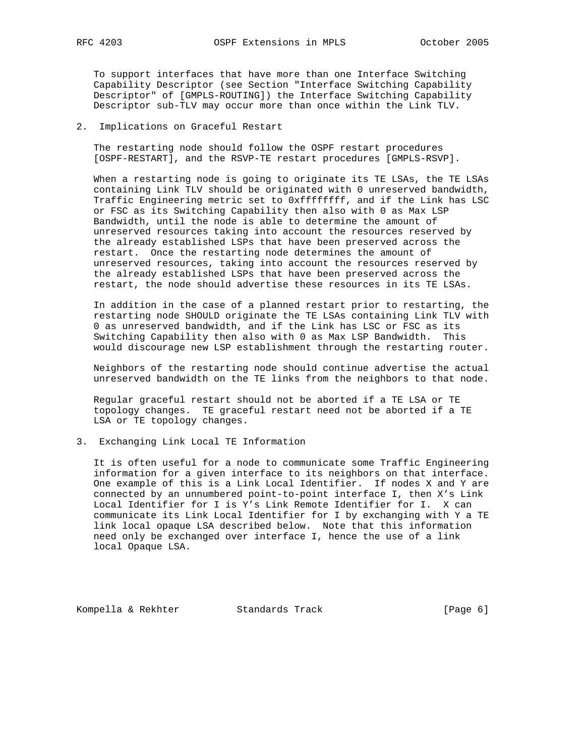To support interfaces that have more than one Interface Switching Capability Descriptor (see Section "Interface Switching Capability Descriptor" of [GMPLS-ROUTING]) the Interface Switching Capability Descriptor sub-TLV may occur more than once within the Link TLV.

2. Implications on Graceful Restart

 The restarting node should follow the OSPF restart procedures [OSPF-RESTART], and the RSVP-TE restart procedures [GMPLS-RSVP].

 When a restarting node is going to originate its TE LSAs, the TE LSAs containing Link TLV should be originated with 0 unreserved bandwidth, Traffic Engineering metric set to 0xffffffff, and if the Link has LSC or FSC as its Switching Capability then also with 0 as Max LSP Bandwidth, until the node is able to determine the amount of unreserved resources taking into account the resources reserved by the already established LSPs that have been preserved across the restart. Once the restarting node determines the amount of unreserved resources, taking into account the resources reserved by the already established LSPs that have been preserved across the restart, the node should advertise these resources in its TE LSAs.

 In addition in the case of a planned restart prior to restarting, the restarting node SHOULD originate the TE LSAs containing Link TLV with 0 as unreserved bandwidth, and if the Link has LSC or FSC as its Switching Capability then also with 0 as Max LSP Bandwidth. This would discourage new LSP establishment through the restarting router.

 Neighbors of the restarting node should continue advertise the actual unreserved bandwidth on the TE links from the neighbors to that node.

 Regular graceful restart should not be aborted if a TE LSA or TE topology changes. TE graceful restart need not be aborted if a TE LSA or TE topology changes.

3. Exchanging Link Local TE Information

 It is often useful for a node to communicate some Traffic Engineering information for a given interface to its neighbors on that interface. One example of this is a Link Local Identifier. If nodes X and Y are connected by an unnumbered point-to-point interface I, then X's Link Local Identifier for I is Y's Link Remote Identifier for I. X can communicate its Link Local Identifier for I by exchanging with Y a TE link local opaque LSA described below. Note that this information need only be exchanged over interface I, hence the use of a link local Opaque LSA.

Kompella & Rekhter Standards Track [Page 6]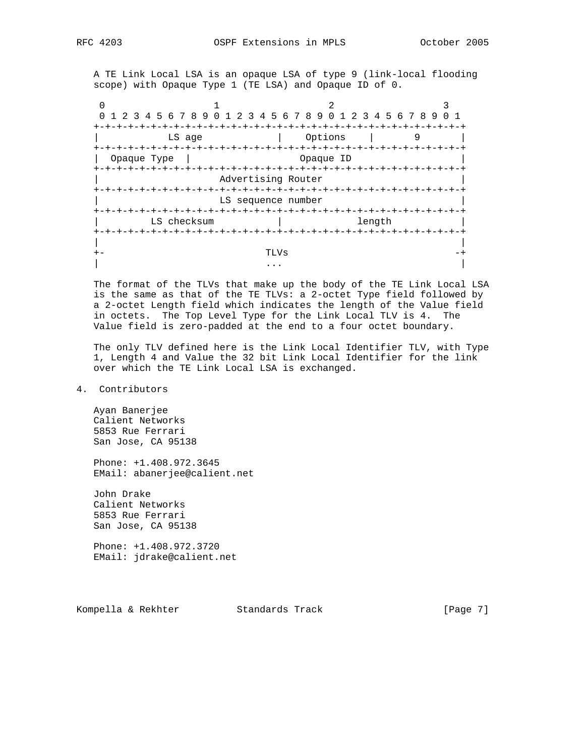A TE Link Local LSA is an opaque LSA of type 9 (link-local flooding scope) with Opaque Type 1 (TE LSA) and Opaque ID of 0.

|             | 1 2 3 4 5 6 7 8 9 0 1 2 3 4 5 6 7 8 9 0 1 2 3 4 5 6 7 8 9 |  |                                    |           |        |  | $\overline{0}$ |  |  |  |  |  |  |  |  |
|-------------|-----------------------------------------------------------|--|------------------------------------|-----------|--------|--|----------------|--|--|--|--|--|--|--|--|
|             |                                                           |  |                                    |           |        |  |                |  |  |  |  |  |  |  |  |
|             | LS age                                                    |  |                                    | Options   |        |  |                |  |  |  |  |  |  |  |  |
|             |                                                           |  |                                    |           |        |  |                |  |  |  |  |  |  |  |  |
| Opaque Type |                                                           |  |                                    | Opaque ID |        |  |                |  |  |  |  |  |  |  |  |
|             |                                                           |  |                                    |           |        |  |                |  |  |  |  |  |  |  |  |
|             | Advertising Router                                        |  |                                    |           |        |  |                |  |  |  |  |  |  |  |  |
|             |                                                           |  |                                    |           |        |  |                |  |  |  |  |  |  |  |  |
|             | LS sequence number                                        |  |                                    |           |        |  |                |  |  |  |  |  |  |  |  |
|             |                                                           |  |                                    |           |        |  |                |  |  |  |  |  |  |  |  |
|             | LS checksum                                               |  |                                    |           | length |  |                |  |  |  |  |  |  |  |  |
|             |                                                           |  | -+-+-+-+-+-+-+-+-+-+-+-+-+-+-+-+-+ |           |        |  |                |  |  |  |  |  |  |  |  |
|             |                                                           |  |                                    |           |        |  |                |  |  |  |  |  |  |  |  |
|             |                                                           |  |                                    |           |        |  |                |  |  |  |  |  |  |  |  |
|             |                                                           |  |                                    |           |        |  |                |  |  |  |  |  |  |  |  |

 The format of the TLVs that make up the body of the TE Link Local LSA is the same as that of the TE TLVs: a 2-octet Type field followed by a 2-octet Length field which indicates the length of the Value field in octets. The Top Level Type for the Link Local TLV is 4. The Value field is zero-padded at the end to a four octet boundary.

 The only TLV defined here is the Link Local Identifier TLV, with Type 1, Length 4 and Value the 32 bit Link Local Identifier for the link over which the TE Link Local LSA is exchanged.

# 4. Contributors

 Ayan Banerjee Calient Networks 5853 Rue Ferrari San Jose, CA 95138

 Phone: +1.408.972.3645 EMail: abanerjee@calient.net

 John Drake Calient Networks 5853 Rue Ferrari San Jose, CA 95138

 Phone: +1.408.972.3720 EMail: jdrake@calient.net

Kompella & Rekhter Standards Track [Page 7]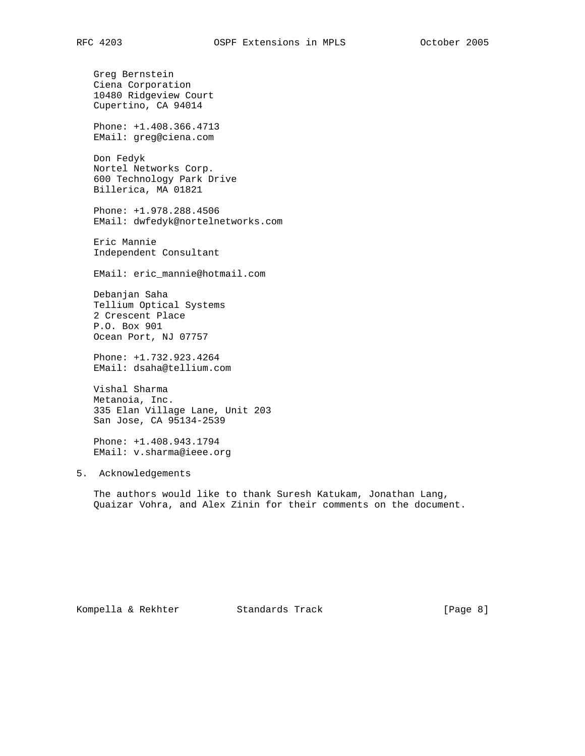Greg Bernstein Ciena Corporation 10480 Ridgeview Court Cupertino, CA 94014 Phone: +1.408.366.4713 EMail: greg@ciena.com Don Fedyk Nortel Networks Corp. 600 Technology Park Drive Billerica, MA 01821 Phone: +1.978.288.4506 EMail: dwfedyk@nortelnetworks.com Eric Mannie Independent Consultant EMail: eric\_mannie@hotmail.com Debanjan Saha Tellium Optical Systems 2 Crescent Place P.O. Box 901 Ocean Port, NJ 07757 Phone: +1.732.923.4264 EMail: dsaha@tellium.com Vishal Sharma Metanoia, Inc. 335 Elan Village Lane, Unit 203 San Jose, CA 95134-2539

 Phone: +1.408.943.1794 EMail: v.sharma@ieee.org

# 5. Acknowledgements

 The authors would like to thank Suresh Katukam, Jonathan Lang, Quaizar Vohra, and Alex Zinin for their comments on the document.

Kompella & Rekhter Standards Track [Page 8]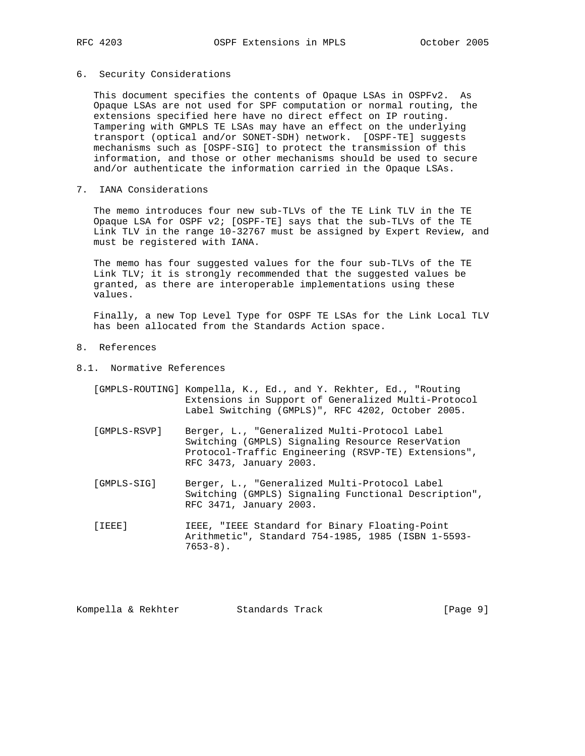# 6. Security Considerations

 This document specifies the contents of Opaque LSAs in OSPFv2. As Opaque LSAs are not used for SPF computation or normal routing, the extensions specified here have no direct effect on IP routing. Tampering with GMPLS TE LSAs may have an effect on the underlying transport (optical and/or SONET-SDH) network. [OSPF-TE] suggests mechanisms such as [OSPF-SIG] to protect the transmission of this information, and those or other mechanisms should be used to secure and/or authenticate the information carried in the Opaque LSAs.

7. IANA Considerations

 The memo introduces four new sub-TLVs of the TE Link TLV in the TE Opaque LSA for OSPF v2; [OSPF-TE] says that the sub-TLVs of the TE Link TLV in the range 10-32767 must be assigned by Expert Review, and must be registered with IANA.

 The memo has four suggested values for the four sub-TLVs of the TE Link TLV; it is strongly recommended that the suggested values be granted, as there are interoperable implementations using these values.

 Finally, a new Top Level Type for OSPF TE LSAs for the Link Local TLV has been allocated from the Standards Action space.

- 8. References
- 8.1. Normative References
	- [GMPLS-ROUTING] Kompella, K., Ed., and Y. Rekhter, Ed., "Routing Extensions in Support of Generalized Multi-Protocol Label Switching (GMPLS)", RFC 4202, October 2005.
	- [GMPLS-RSVP] Berger, L., "Generalized Multi-Protocol Label Switching (GMPLS) Signaling Resource ReserVation Protocol-Traffic Engineering (RSVP-TE) Extensions", RFC 3473, January 2003.
	- [GMPLS-SIG] Berger, L., "Generalized Multi-Protocol Label Switching (GMPLS) Signaling Functional Description", RFC 3471, January 2003.
	- [IEEE] IEEE, "IEEE Standard for Binary Floating-Point Arithmetic", Standard 754-1985, 1985 (ISBN 1-5593-  $7653-8$ ).

| Standards Track<br>Kompella & Rekhter | [Page 9] |  |  |
|---------------------------------------|----------|--|--|
|---------------------------------------|----------|--|--|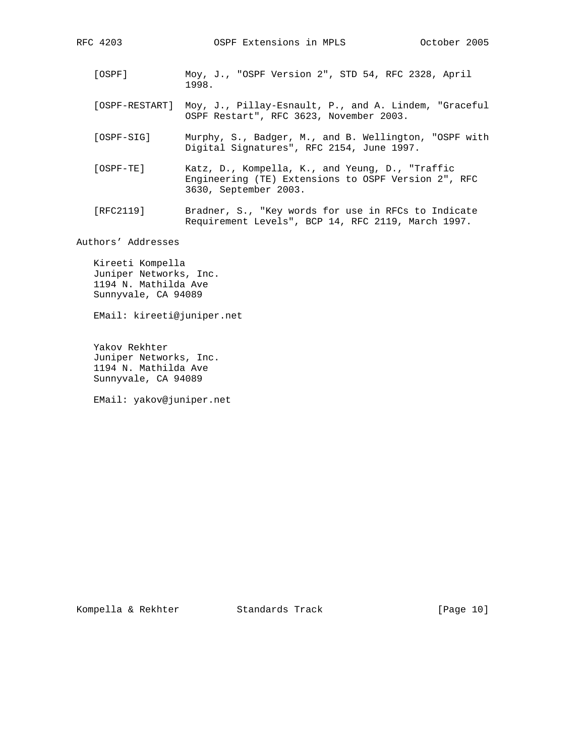- [OSPF] Moy, J., "OSPF Version 2", STD 54, RFC 2328, April 1998.
- [OSPF-RESTART] Moy, J., Pillay-Esnault, P., and A. Lindem, "Graceful OSPF Restart", RFC 3623, November 2003.
- [OSPF-SIG] Murphy, S., Badger, M., and B. Wellington, "OSPF with Digital Signatures", RFC 2154, June 1997.
- [OSPF-TE] Katz, D., Kompella, K., and Yeung, D., "Traffic Engineering (TE) Extensions to OSPF Version 2", RFC 3630, September 2003.
- [RFC2119] Bradner, S., "Key words for use in RFCs to Indicate Requirement Levels", BCP 14, RFC 2119, March 1997.

Authors' Addresses

 Kireeti Kompella Juniper Networks, Inc. 1194 N. Mathilda Ave Sunnyvale, CA 94089

EMail: kireeti@juniper.net

 Yakov Rekhter Juniper Networks, Inc. 1194 N. Mathilda Ave Sunnyvale, CA 94089

EMail: yakov@juniper.net